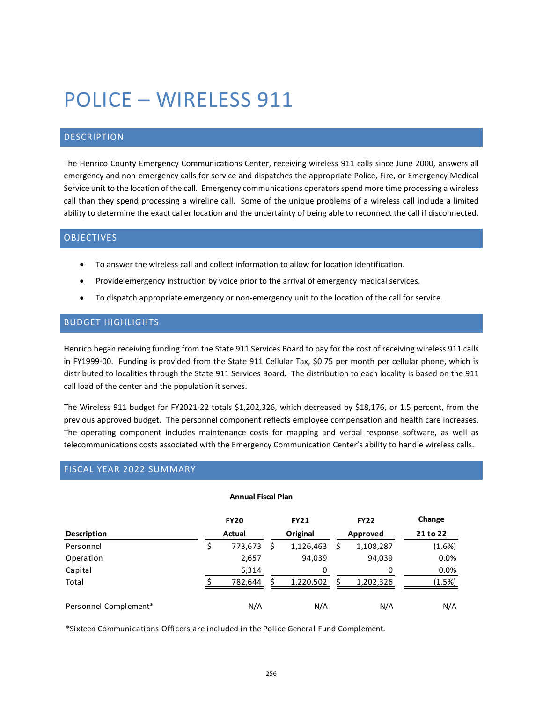# POLICE – WIRELESS 911

# DESCRIPTION

The Henrico County Emergency Communications Center, receiving wireless 911 calls since June 2000, answers all emergency and non-emergency calls for service and dispatches the appropriate Police, Fire, or Emergency Medical Service unit to the location of the call. Emergency communications operators spend more time processing a wireless call than they spend processing a wireline call. Some of the unique problems of a wireless call include a limited ability to determine the exact caller location and the uncertainty of being able to reconnect the call if disconnected.

### OBJECTIVES

- To answer the wireless call and collect information to allow for location identification.
- Provide emergency instruction by voice prior to the arrival of emergency medical services.
- To dispatch appropriate emergency or non-emergency unit to the location of the call for service.

#### BUDGET HIGHLIGHTS

Henrico began receiving funding from the State 911 Services Board to pay for the cost of receiving wireless 911 calls in FY1999-00. Funding is provided from the State 911 Cellular Tax, \$0.75 per month per cellular phone, which is distributed to localities through the State 911 Services Board. The distribution to each locality is based on the 911 call load of the center and the population it serves.

The Wireless 911 budget for FY2021-22 totals \$1,202,326, which decreased by \$18,176, or 1.5 percent, from the previous approved budget. The personnel component reflects employee compensation and health care increases. The operating component includes maintenance costs for mapping and verbal response software, as well as telecommunications costs associated with the Emergency Communication Center's ability to handle wireless calls.

# FISCAL YEAR 2022 SUMMARY

| <b>Annual Fiscal Plan</b> |        |             |          |             |          |             |          |  |  |  |
|---------------------------|--------|-------------|----------|-------------|----------|-------------|----------|--|--|--|
|                           |        | <b>FY20</b> |          | <b>FY21</b> |          | <b>FY22</b> | Change   |  |  |  |
| <b>Description</b>        | Actual |             | Original |             | Approved |             | 21 to 22 |  |  |  |
| Personnel                 |        | 773,673     | S        | 1,126,463   | S        | 1,108,287   | (1.6%)   |  |  |  |
| Operation                 |        | 2,657       |          | 94,039      |          | 94,039      | 0.0%     |  |  |  |
| Capital                   |        | 6,314       |          | 0           |          | 0           | 0.0%     |  |  |  |
| Total                     |        | 782,644     |          | 1,220,502   |          | 1,202,326   | (1.5%)   |  |  |  |
| Personnel Complement*     |        | N/A         |          | N/A         |          | N/A         | N/A      |  |  |  |

\*Sixteen Communications Officers are included in the Police General Fund Complement.